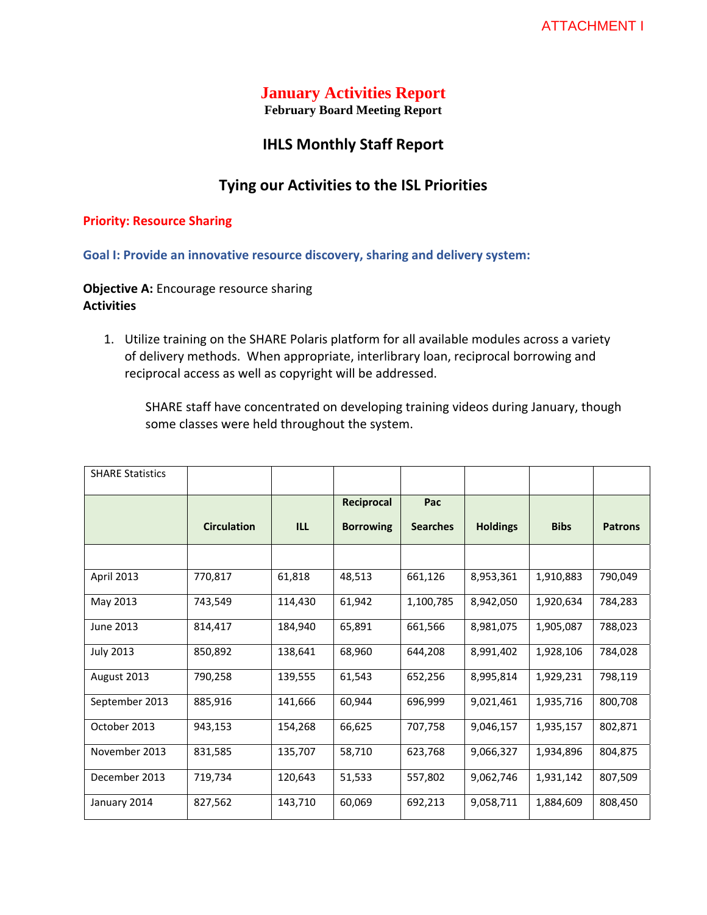# **January Activities Report**

**February Board Meeting Report**

# **IHLS Monthly Staff Report**

# **Tying our Activities to the ISL Priorities**

#### **Priority: Resource Sharing**

**Goal I: Provide an innovative resource discovery, sharing and delivery system:** 

# **Objective A:** Encourage resource sharing **Activities**

1. Utilize training on the SHARE Polaris platform for all available modules across a variety of delivery methods. When appropriate, interlibrary loan, reciprocal borrowing and reciprocal access as well as copyright will be addressed.

SHARE staff have concentrated on developing training videos during January, though some classes were held throughout the system.

| <b>SHARE Statistics</b> |                    |         |                  |                 |                 |             |                |
|-------------------------|--------------------|---------|------------------|-----------------|-----------------|-------------|----------------|
|                         |                    |         | Reciprocal       | Pac             |                 |             |                |
|                         | <b>Circulation</b> | ILL.    | <b>Borrowing</b> | <b>Searches</b> | <b>Holdings</b> | <b>Bibs</b> | <b>Patrons</b> |
|                         |                    |         |                  |                 |                 |             |                |
| April 2013              | 770,817            | 61,818  | 48,513           | 661,126         | 8,953,361       | 1,910,883   | 790,049        |
| May 2013                | 743,549            | 114,430 | 61,942           | 1,100,785       | 8,942,050       | 1,920,634   | 784,283        |
| June 2013               | 814,417            | 184,940 | 65,891           | 661,566         | 8,981,075       | 1,905,087   | 788,023        |
| <b>July 2013</b>        | 850,892            | 138,641 | 68,960           | 644,208         | 8,991,402       | 1,928,106   | 784,028        |
| August 2013             | 790,258            | 139,555 | 61,543           | 652,256         | 8,995,814       | 1,929,231   | 798,119        |
| September 2013          | 885,916            | 141,666 | 60,944           | 696,999         | 9,021,461       | 1,935,716   | 800,708        |
| October 2013            | 943,153            | 154,268 | 66,625           | 707,758         | 9,046,157       | 1,935,157   | 802,871        |
| November 2013           | 831,585            | 135,707 | 58,710           | 623,768         | 9,066,327       | 1,934,896   | 804,875        |
| December 2013           | 719,734            | 120,643 | 51,533           | 557,802         | 9,062,746       | 1,931,142   | 807,509        |
| January 2014            | 827,562            | 143,710 | 60,069           | 692,213         | 9,058,711       | 1,884,609   | 808,450        |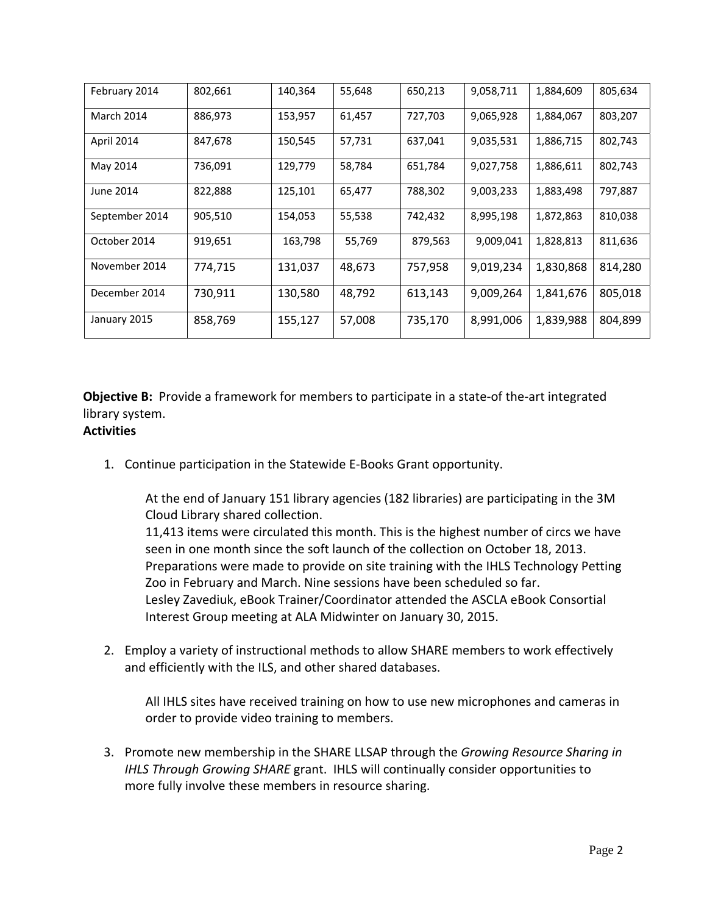| February 2014  | 802,661 | 140,364 | 55,648 | 650,213 | 9,058,711 | 1,884,609 | 805,634 |
|----------------|---------|---------|--------|---------|-----------|-----------|---------|
| March 2014     | 886,973 | 153,957 | 61,457 | 727,703 | 9,065,928 | 1,884,067 | 803,207 |
| April 2014     | 847,678 | 150,545 | 57,731 | 637,041 | 9,035,531 | 1,886,715 | 802,743 |
| May 2014       | 736,091 | 129,779 | 58,784 | 651,784 | 9,027,758 | 1,886,611 | 802,743 |
| June 2014      | 822,888 | 125,101 | 65,477 | 788,302 | 9,003,233 | 1,883,498 | 797,887 |
| September 2014 | 905,510 | 154,053 | 55,538 | 742,432 | 8,995,198 | 1,872,863 | 810,038 |
| October 2014   | 919,651 | 163,798 | 55,769 | 879,563 | 9,009,041 | 1,828,813 | 811,636 |
| November 2014  | 774,715 | 131,037 | 48,673 | 757,958 | 9,019,234 | 1,830,868 | 814,280 |
| December 2014  | 730,911 | 130,580 | 48,792 | 613,143 | 9,009,264 | 1,841,676 | 805,018 |
| January 2015   | 858,769 | 155,127 | 57,008 | 735,170 | 8,991,006 | 1,839,988 | 804,899 |

**Objective B:** Provide a framework for members to participate in a state-of the-art integrated library system.

# **Activities**

1. Continue participation in the Statewide E‐Books Grant opportunity.

At the end of January 151 library agencies (182 libraries) are participating in the 3M Cloud Library shared collection.

11,413 items were circulated this month. This is the highest number of circs we have seen in one month since the soft launch of the collection on October 18, 2013. Preparations were made to provide on site training with the IHLS Technology Petting Zoo in February and March. Nine sessions have been scheduled so far. Lesley Zavediuk, eBook Trainer/Coordinator attended the ASCLA eBook Consortial Interest Group meeting at ALA Midwinter on January 30, 2015.

2. Employ a variety of instructional methods to allow SHARE members to work effectively and efficiently with the ILS, and other shared databases.

All IHLS sites have received training on how to use new microphones and cameras in order to provide video training to members.

3. Promote new membership in the SHARE LLSAP through the *Growing Resource Sharing in IHLS Through Growing SHARE* grant. IHLS will continually consider opportunities to more fully involve these members in resource sharing.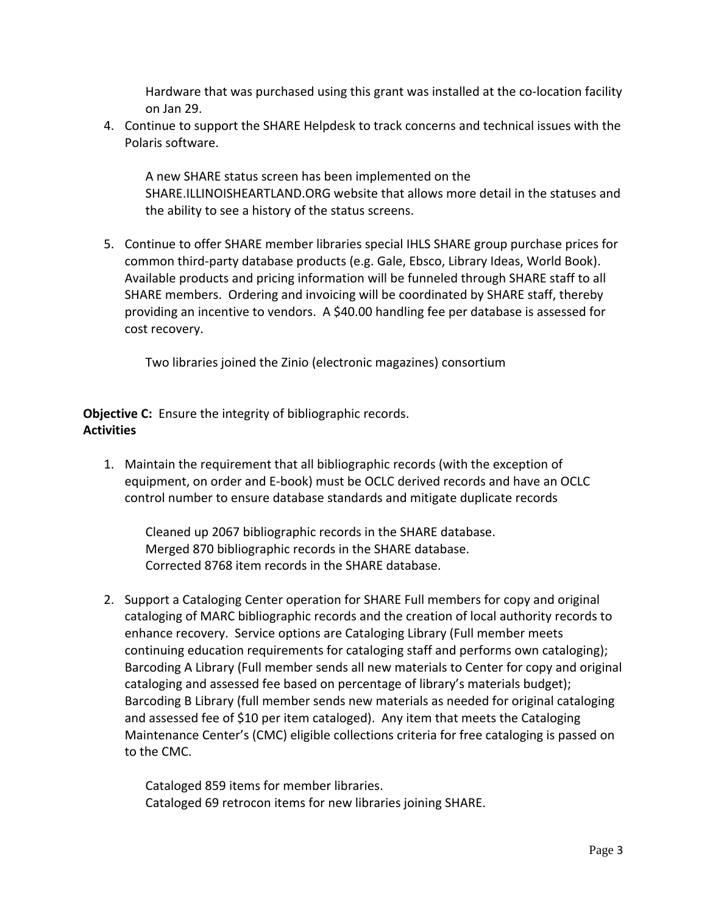Hardware that was purchased using this grant was installed at the co‐location facility on Jan 29.

4. Continue to support the SHARE Helpdesk to track concerns and technical issues with the Polaris software.

A new SHARE status screen has been implemented on the SHARE.ILLINOISHEARTLAND.ORG website that allows more detail in the statuses and the ability to see a history of the status screens.

5. Continue to offer SHARE member libraries special IHLS SHARE group purchase prices for common third‐party database products (e.g. Gale, Ebsco, Library Ideas, World Book). Available products and pricing information will be funneled through SHARE staff to all SHARE members. Ordering and invoicing will be coordinated by SHARE staff, thereby providing an incentive to vendors. A \$40.00 handling fee per database is assessed for cost recovery.

Two libraries joined the Zinio (electronic magazines) consortium

**Objective C:** Ensure the integrity of bibliographic records. **Activities**

1. Maintain the requirement that all bibliographic records (with the exception of equipment, on order and E‐book) must be OCLC derived records and have an OCLC control number to ensure database standards and mitigate duplicate records

Cleaned up 2067 bibliographic records in the SHARE database. Merged 870 bibliographic records in the SHARE database. Corrected 8768 item records in the SHARE database.

2. Support a Cataloging Center operation for SHARE Full members for copy and original cataloging of MARC bibliographic records and the creation of local authority records to enhance recovery. Service options are Cataloging Library (Full member meets continuing education requirements for cataloging staff and performs own cataloging); Barcoding A Library (Full member sends all new materials to Center for copy and original cataloging and assessed fee based on percentage of library's materials budget); Barcoding B Library (full member sends new materials as needed for original cataloging and assessed fee of \$10 per item cataloged). Any item that meets the Cataloging Maintenance Center's (CMC) eligible collections criteria for free cataloging is passed on to the CMC.

Cataloged 859 items for member libraries. Cataloged 69 retrocon items for new libraries joining SHARE.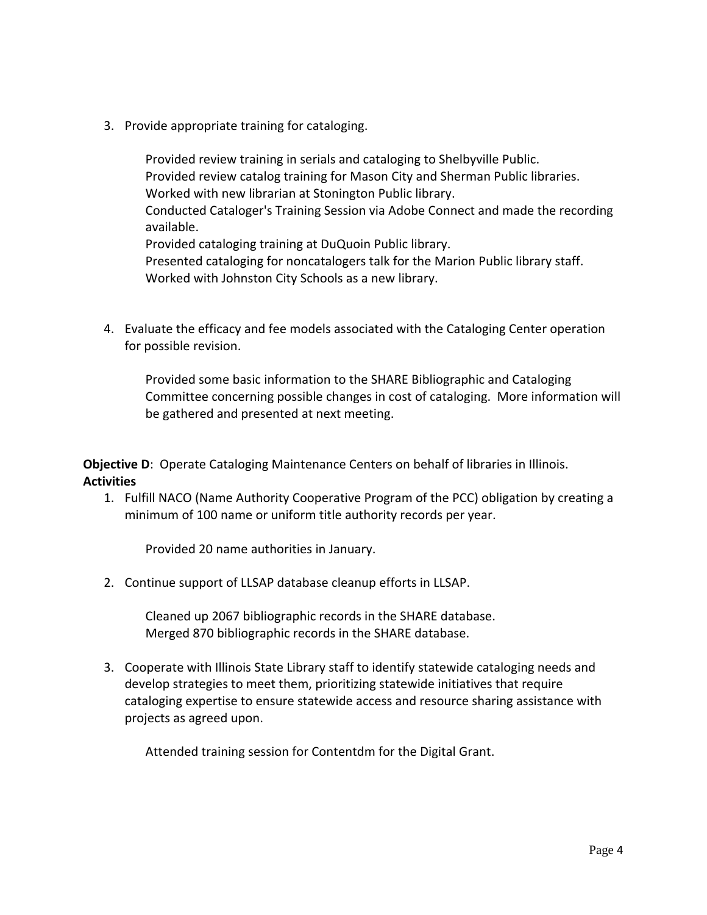3. Provide appropriate training for cataloging.

Provided review training in serials and cataloging to Shelbyville Public. Provided review catalog training for Mason City and Sherman Public libraries. Worked with new librarian at Stonington Public library. Conducted Cataloger's Training Session via Adobe Connect and made the recording available. Provided cataloging training at DuQuoin Public library. Presented cataloging for noncatalogers talk for the Marion Public library staff. Worked with Johnston City Schools as a new library.

4. Evaluate the efficacy and fee models associated with the Cataloging Center operation for possible revision.

Provided some basic information to the SHARE Bibliographic and Cataloging Committee concerning possible changes in cost of cataloging. More information will be gathered and presented at next meeting.

**Objective D:** Operate Cataloging Maintenance Centers on behalf of libraries in Illinois. **Activities**

1. Fulfill NACO (Name Authority Cooperative Program of the PCC) obligation by creating a minimum of 100 name or uniform title authority records per year.

Provided 20 name authorities in January.

2. Continue support of LLSAP database cleanup efforts in LLSAP.

Cleaned up 2067 bibliographic records in the SHARE database. Merged 870 bibliographic records in the SHARE database.

3. Cooperate with Illinois State Library staff to identify statewide cataloging needs and develop strategies to meet them, prioritizing statewide initiatives that require cataloging expertise to ensure statewide access and resource sharing assistance with projects as agreed upon.

Attended training session for Contentdm for the Digital Grant.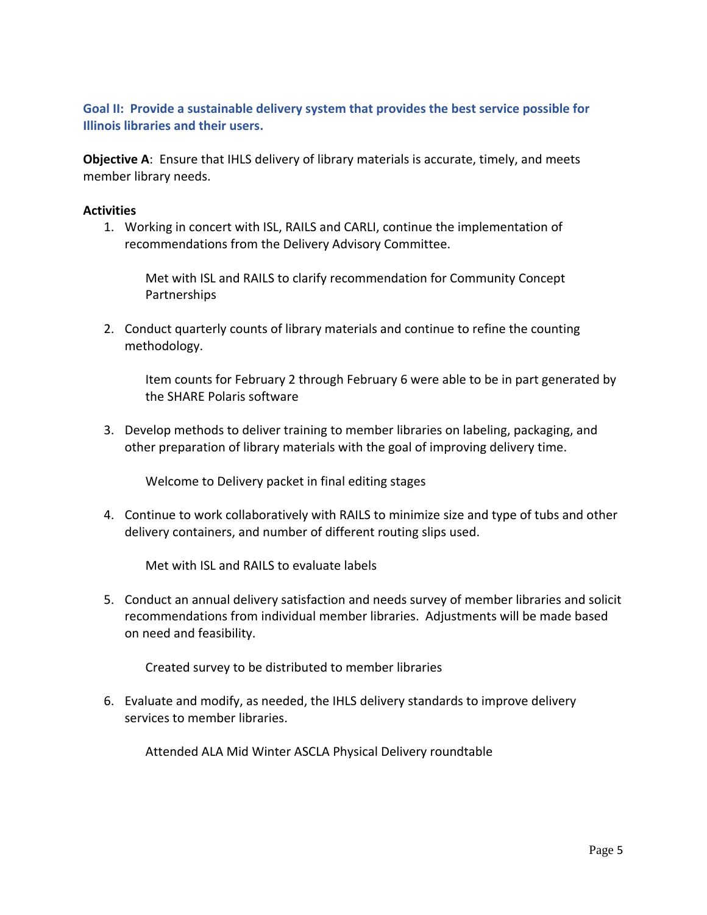**Goal II: Provide a sustainable delivery system that provides the best service possible for Illinois libraries and their users.**

**Objective A**: Ensure that IHLS delivery of library materials is accurate, timely, and meets member library needs.

### **Activities**

1. Working in concert with ISL, RAILS and CARLI, continue the implementation of recommendations from the Delivery Advisory Committee.

Met with ISL and RAILS to clarify recommendation for Community Concept Partnerships

2. Conduct quarterly counts of library materials and continue to refine the counting methodology.

Item counts for February 2 through February 6 were able to be in part generated by the SHARE Polaris software

3. Develop methods to deliver training to member libraries on labeling, packaging, and other preparation of library materials with the goal of improving delivery time.

Welcome to Delivery packet in final editing stages

4. Continue to work collaboratively with RAILS to minimize size and type of tubs and other delivery containers, and number of different routing slips used.

Met with ISL and RAILS to evaluate labels

5. Conduct an annual delivery satisfaction and needs survey of member libraries and solicit recommendations from individual member libraries. Adjustments will be made based on need and feasibility.

Created survey to be distributed to member libraries

6. Evaluate and modify, as needed, the IHLS delivery standards to improve delivery services to member libraries.

Attended ALA Mid Winter ASCLA Physical Delivery roundtable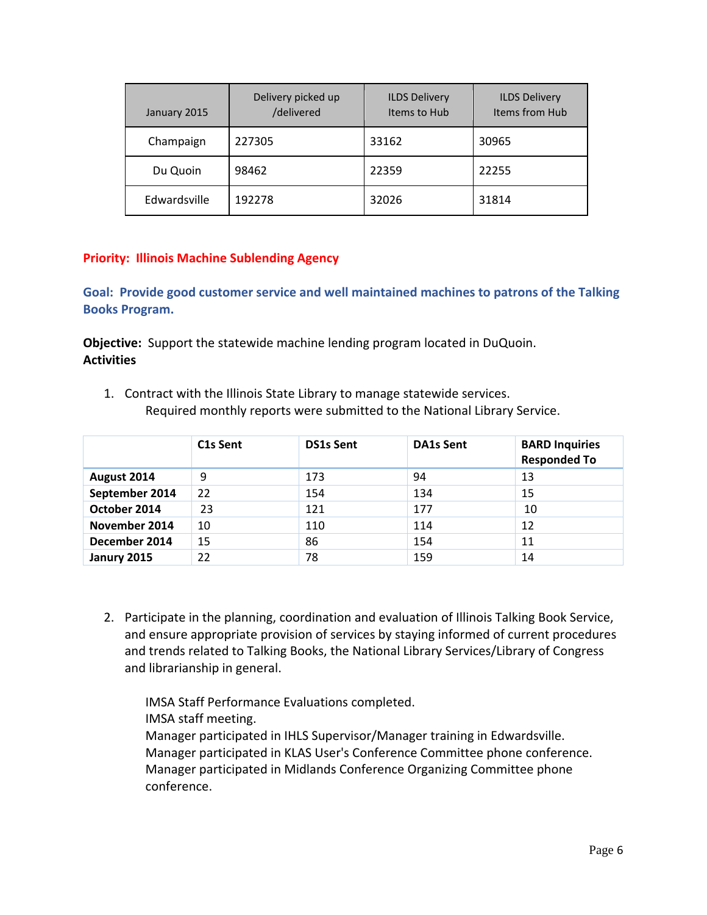| January 2015 | Delivery picked up<br>/delivered | <b>ILDS Delivery</b><br>Items to Hub | <b>ILDS Delivery</b><br>Items from Hub |
|--------------|----------------------------------|--------------------------------------|----------------------------------------|
| Champaign    | 227305                           | 33162                                | 30965                                  |
| Du Quoin     | 98462                            | 22359                                | 22255                                  |
| Edwardsville | 192278                           | 32026                                | 31814                                  |

# **Priority: Illinois Machine Sublending Agency**

**Goal: Provide good customer service and well maintained machines to patrons of the Talking Books Program.**

**Objective:** Support the statewide machine lending program located in DuQuoin. **Activities**

1. Contract with the Illinois State Library to manage statewide services. Required monthly reports were submitted to the National Library Service.

|                | C <sub>1</sub> s Sent | <b>DS1s Sent</b> | <b>DA1s Sent</b> | <b>BARD Inquiries</b><br><b>Responded To</b> |
|----------------|-----------------------|------------------|------------------|----------------------------------------------|
| August 2014    | 9                     | 173              | 94               | 13                                           |
| September 2014 | 22                    | 154              | 134              | 15                                           |
| October 2014   | 23                    | 121              | 177              | 10                                           |
| November 2014  | 10                    | 110              | 114              | 12                                           |
| December 2014  | 15                    | 86               | 154              | 11                                           |
| Janury 2015    | 22                    | 78               | 159              | 14                                           |

2. Participate in the planning, coordination and evaluation of Illinois Talking Book Service, and ensure appropriate provision of services by staying informed of current procedures and trends related to Talking Books, the National Library Services/Library of Congress and librarianship in general.

IMSA Staff Performance Evaluations completed. IMSA staff meeting.

Manager participated in IHLS Supervisor/Manager training in Edwardsville. Manager participated in KLAS User's Conference Committee phone conference. Manager participated in Midlands Conference Organizing Committee phone conference.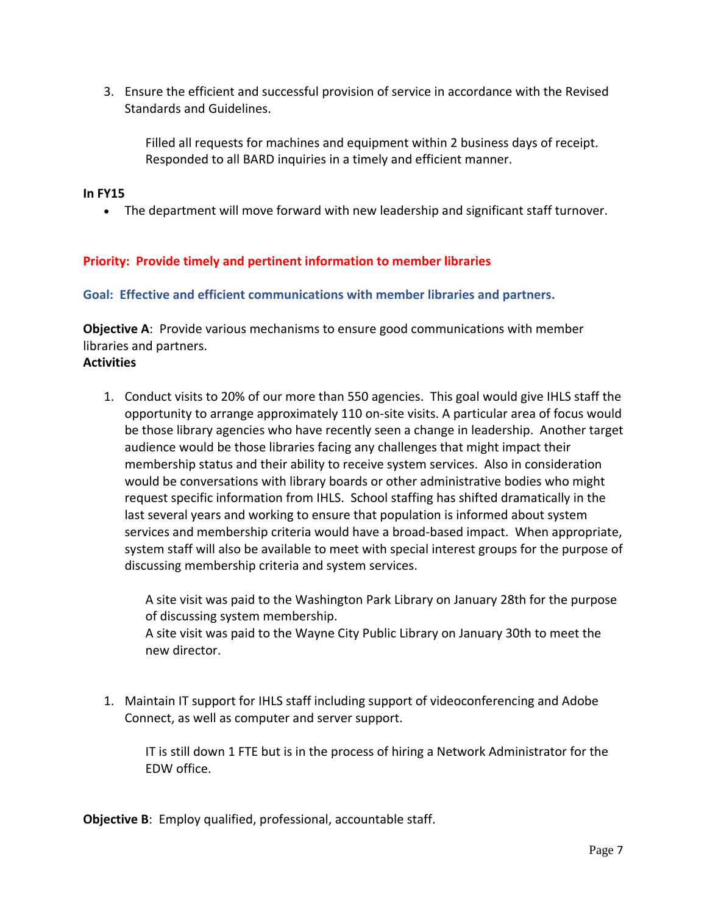3. Ensure the efficient and successful provision of service in accordance with the Revised Standards and Guidelines.

Filled all requests for machines and equipment within 2 business days of receipt. Responded to all BARD inquiries in a timely and efficient manner.

### **In FY15**

The department will move forward with new leadership and significant staff turnover.

## **Priority: Provide timely and pertinent information to member libraries**

### **Goal: Effective and efficient communications with member libraries and partners.**

**Objective A**: Provide various mechanisms to ensure good communications with member libraries and partners.

### **Activities**

1. Conduct visits to 20% of our more than 550 agencies. This goal would give IHLS staff the opportunity to arrange approximately 110 on‐site visits. A particular area of focus would be those library agencies who have recently seen a change in leadership. Another target audience would be those libraries facing any challenges that might impact their membership status and their ability to receive system services. Also in consideration would be conversations with library boards or other administrative bodies who might request specific information from IHLS. School staffing has shifted dramatically in the last several years and working to ensure that population is informed about system services and membership criteria would have a broad‐based impact. When appropriate, system staff will also be available to meet with special interest groups for the purpose of discussing membership criteria and system services.

A site visit was paid to the Washington Park Library on January 28th for the purpose of discussing system membership.

A site visit was paid to the Wayne City Public Library on January 30th to meet the new director.

1. Maintain IT support for IHLS staff including support of videoconferencing and Adobe Connect, as well as computer and server support.

IT is still down 1 FTE but is in the process of hiring a Network Administrator for the EDW office.

**Objective B**: Employ qualified, professional, accountable staff.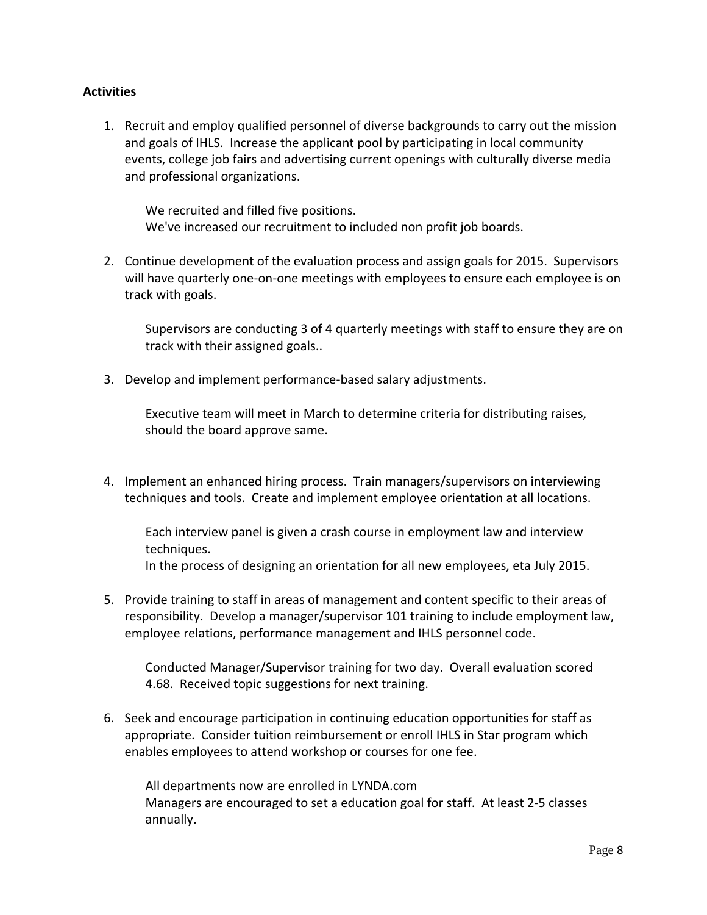# **Activities**

1. Recruit and employ qualified personnel of diverse backgrounds to carry out the mission and goals of IHLS. Increase the applicant pool by participating in local community events, college job fairs and advertising current openings with culturally diverse media and professional organizations.

We recruited and filled five positions. We've increased our recruitment to included non profit job boards.

2. Continue development of the evaluation process and assign goals for 2015. Supervisors will have quarterly one-on-one meetings with employees to ensure each employee is on track with goals.

Supervisors are conducting 3 of 4 quarterly meetings with staff to ensure they are on track with their assigned goals..

3. Develop and implement performance‐based salary adjustments.

Executive team will meet in March to determine criteria for distributing raises, should the board approve same.

4. Implement an enhanced hiring process. Train managers/supervisors on interviewing techniques and tools. Create and implement employee orientation at all locations.

Each interview panel is given a crash course in employment law and interview techniques. In the process of designing an orientation for all new employees, eta July 2015.

5. Provide training to staff in areas of management and content specific to their areas of responsibility. Develop a manager/supervisor 101 training to include employment law, employee relations, performance management and IHLS personnel code.

Conducted Manager/Supervisor training for two day. Overall evaluation scored 4.68. Received topic suggestions for next training.

6. Seek and encourage participation in continuing education opportunities for staff as appropriate. Consider tuition reimbursement or enroll IHLS in Star program which enables employees to attend workshop or courses for one fee.

All departments now are enrolled in LYNDA.com Managers are encouraged to set a education goal for staff. At least 2‐5 classes annually.